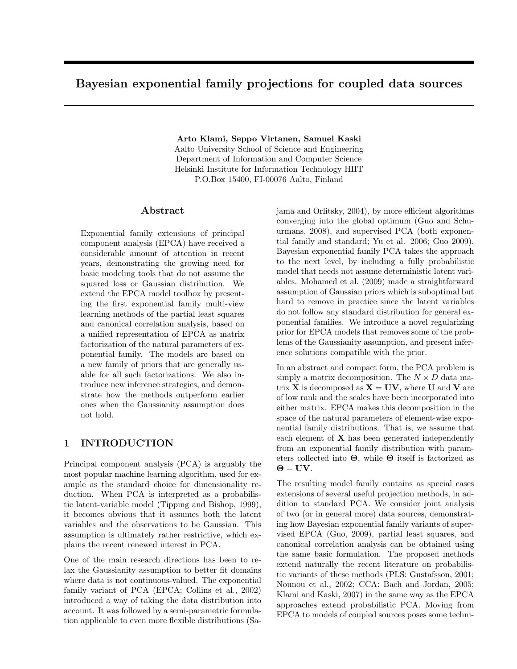# Bayesian exponential family projections for coupled data sources

Arto Klami, Seppo Virtanen, Samuel Kaski Aalto University School of Science and Engineering Department of Information and Computer Science Helsinki Institute for Information Technology HIIT P.O.Box 15400, FI-00076 Aalto, Finland

### Abstract

Exponential family extensions of principal component analysis (EPCA) have received a considerable amount of attention in recent years, demonstrating the growing need for basic modeling tools that do not assume the squared loss or Gaussian distribution. We extend the EPCA model toolbox by presenting the first exponential family multi-view learning methods of the partial least squares and canonical correlation analysis, based on a unified representation of EPCA as matrix factorization of the natural parameters of exponential family. The models are based on a new family of priors that are generally usable for all such factorizations. We also introduce new inference strategies, and demonstrate how the methods outperform earlier ones when the Gaussianity assumption does not hold.

# 1 INTRODUCTION

Principal component analysis (PCA) is arguably the most popular machine learning algorithm, used for example as the standard choice for dimensionality reduction. When PCA is interpreted as a probabilistic latent-variable model (Tipping and Bishop, 1999), it becomes obvious that it assumes both the latent variables and the observations to be Gaussian. This assumption is ultimately rather restrictive, which explains the recent renewed interest in PCA.

One of the main research directions has been to relax the Gaussianity assumption to better fit domains where data is not continuous-valued. The exponential family variant of PCA (EPCA; Collins et al., 2002) introduced a way of taking the data distribution into account. It was followed by a semi-parametric formulation applicable to even more flexible distributions (Sa-

jama and Orlitsky, 2004), by more efficient algorithms converging into the global optimum (Guo and Schuurmans, 2008), and supervised PCA (both exponential family and standard; Yu et al. 2006; Guo 2009). Bayesian exponential family PCA takes the approach to the next level, by including a fully probabilistic model that needs not assume deterministic latent variables. Mohamed et al. (2009) made a straightforward assumption of Gaussian priors which is suboptimal but hard to remove in practice since the latent variables do not follow any standard distribution for general exponential families. We introduce a novel regularizing prior for EPCA models that removes some of the problems of the Gaussianity assumption, and present inference solutions compatible with the prior.

In an abstract and compact form, the PCA problem is simply a matrix decomposition. The  $N \times D$  data matrix **X** is decomposed as  $X = UV$ , where U and V are of low rank and the scales have been incorporated into either matrix. EPCA makes this decomposition in the space of the natural parameters of element-wise exponential family distributions. That is, we assume that each element of  $X$  has been generated independently from an exponential family distribution with parameters collected into  $\Theta$ , while  $\Theta$  itself is factorized as  $\Theta = UV.$ 

The resulting model family contains as special cases extensions of several useful projection methods, in addition to standard PCA. We consider joint analysis of two (or in general more) data sources, demonstrating how Bayesian exponential family variants of supervised EPCA (Guo, 2009), partial least squares, and canonical correlation analysis can be obtained using the same basic formulation. The proposed methods extend naturally the recent literature on probabilistic variants of these methods (PLS: Gustafsson, 2001; Nounou et al., 2002; CCA: Bach and Jordan, 2005; Klami and Kaski, 2007) in the same way as the EPCA approaches extend probabilistic PCA. Moving from EPCA to models of coupled sources poses some techni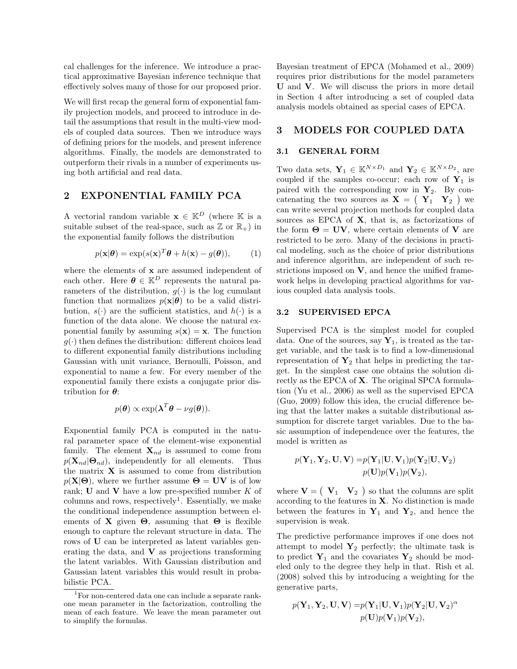cal challenges for the inference. We introduce a practical approximative Bayesian inference technique that effectively solves many of those for our proposed prior.

We will first recap the general form of exponential family projection models, and proceed to introduce in detail the assumptions that result in the multi-view models of coupled data sources. Then we introduce ways of defining priors for the models, and present inference algorithms. Finally, the models are demonstrated to outperform their rivals in a number of experiments using both artificial and real data.

### 2 EXPONENTIAL FAMILY PCA

A vectorial random variable  $\mathbf{x} \in \mathbb{K}^D$  (where K is a suitable subset of the real-space, such as  $\mathbb{Z}$  or  $\mathbb{R}_+$ ) in the exponential family follows the distribution

$$
p(\mathbf{x}|\boldsymbol{\theta}) = \exp(s(\mathbf{x})^T \boldsymbol{\theta} + h(\mathbf{x}) - g(\boldsymbol{\theta})), \quad (1)
$$

where the elements of **x** are assumed independent of each other. Here  $\boldsymbol{\theta} \in \mathbb{K}^D$  represents the natural parameters of the distribution,  $g(\cdot)$  is the log cumulant function that normalizes  $p(\mathbf{x}|\boldsymbol{\theta})$  to be a valid distribution,  $s(\cdot)$  are the sufficient statistics, and  $h(\cdot)$  is a function of the data alone. We choose the natural exponential family by assuming  $s(\mathbf{x}) = \mathbf{x}$ . The function  $g(\cdot)$  then defines the distribution: different choices lead to different exponential family distributions including Gaussian with unit variance, Bernoulli, Poisson, and exponential to name a few. For every member of the exponential family there exists a conjugate prior distribution for  $\theta$ :

$$
p(\boldsymbol{\theta}) \propto \exp(\boldsymbol{\lambda}^T \boldsymbol{\theta} - \nu g(\boldsymbol{\theta})).
$$

Exponential family PCA is computed in the natural parameter space of the element-wise exponential family. The element  $\mathbf{X}_{nd}$  is assumed to come from  $p(\mathbf{X}_{nd}|\mathbf{\Theta}_{nd})$ , independently for all elements. Thus the matrix  $X$  is assumed to come from distribution  $p(X|\Theta)$ , where we further assume  $\Theta = UV$  is of low rank; U and V have a low pre-specified number  $K$  of columns and rows, respectively<sup>1</sup>. Essentially, we make the conditional independence assumption between elements of **X** given  $\Theta$ , assuming that  $\Theta$  is flexible enough to capture the relevant structure in data. The rows of U can be interpreted as latent variables generating the data, and  $V$  as projections transforming the latent variables. With Gaussian distribution and Gaussian latent variables this would result in probabilistic PCA.

Bayesian treatment of EPCA (Mohamed et al., 2009) requires prior distributions for the model parameters U and V. We will discuss the priors in more detail in Section 4 after introducing a set of coupled data analysis models obtained as special cases of EPCA.

### 3 MODELS FOR COUPLED DATA

#### 3.1 GENERAL FORM

Two data sets,  $\mathbf{Y}_1 \in \mathbb{K}^{N \times D_1}$  and  $\mathbf{Y}_2 \in \mathbb{K}^{N \times D_2}$ , are coupled if the samples co-occur; each row of  $Y_1$  is paired with the corresponding row in  $Y_2$ . By concatenating the two sources as  $X = \begin{pmatrix} Y_1 & Y_2 \end{pmatrix}$  we can write several projection methods for coupled data sources as EPCA of X, that is, as factorizations of the form  $\Theta = UV$ , where certain elements of V are restricted to be zero. Many of the decisions in practical modeling, such as the choice of prior distributions and inference algorithm, are independent of such restrictions imposed on  $V$ , and hence the unified framework helps in developing practical algorithms for various coupled data analysis tools.

#### 3.2 SUPERVISED EPCA

Supervised PCA is the simplest model for coupled data. One of the sources, say  $\mathbf{Y}_1$ , is treated as the target variable, and the task is to find a low-dimensional representation of  $\mathbf{Y}_2$  that helps in predicting the target. In the simplest case one obtains the solution directly as the EPCA of X. The original SPCA formulation (Yu et al., 2006) as well as the supervised EPCA (Guo, 2009) follow this idea, the crucial difference being that the latter makes a suitable distributional assumption for discrete target variables. Due to the basic assumption of independence over the features, the model is written as

$$
p(\mathbf{Y}_1, \mathbf{Y}_2, \mathbf{U}, \mathbf{V}) = p(\mathbf{Y}_1 | \mathbf{U}, \mathbf{V}_1) p(\mathbf{Y}_2 | \mathbf{U}, \mathbf{V}_2)
$$
  

$$
p(\mathbf{U}) p(\mathbf{V}_1) p(\mathbf{V}_2),
$$

where  $\mathbf{V} = \begin{pmatrix} \mathbf{V}_1 & \mathbf{V}_2 \end{pmatrix}$  so that the columns are split according to the features in  $X$ . No distinction is made between the features in  $Y_1$  and  $Y_2$ , and hence the supervision is weak.

The predictive performance improves if one does not attempt to model  $Y_2$  perfectly; the ultimate task is to predict  $Y_1$  and the covariates  $Y_2$  should be modeled only to the degree they help in that. Rish et al. (2008) solved this by introducing a weighting for the generative parts,

$$
p(\mathbf{Y}_1, \mathbf{Y}_2, \mathbf{U}, \mathbf{V}) = p(\mathbf{Y}_1 | \mathbf{U}, \mathbf{V}_1) p(\mathbf{Y}_2 | \mathbf{U}, \mathbf{V}_2)^{\alpha}
$$

$$
p(\mathbf{U}) p(\mathbf{V}_1) p(\mathbf{V}_2),
$$

<sup>&</sup>lt;sup>1</sup>For non-centered data one can include a separate rankone mean parameter in the factorization, controlling the mean of each feature. We leave the mean parameter out to simplify the formulas.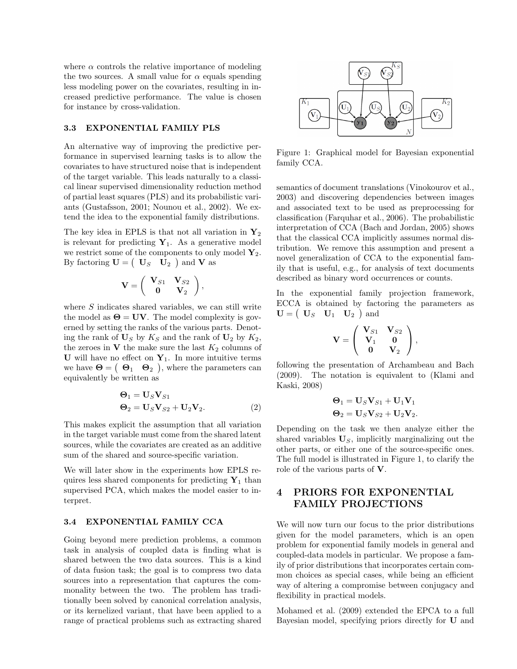where  $\alpha$  controls the relative importance of modeling the two sources. A small value for  $\alpha$  equals spending less modeling power on the covariates, resulting in increased predictive performance. The value is chosen for instance by cross-validation.

#### 3.3 EXPONENTIAL FAMILY PLS

An alternative way of improving the predictive performance in supervised learning tasks is to allow the covariates to have structured noise that is independent of the target variable. This leads naturally to a classical linear supervised dimensionality reduction method of partial least squares (PLS) and its probabilistic variants (Gustafsson, 2001; Nounou et al., 2002). We extend the idea to the exponential family distributions.

The key idea in EPLS is that not all variation in  $Y_2$ is relevant for predicting  $Y_1$ . As a generative model we restrict some of the components to only model  $Y_2$ . By factoring  $\mathbf{U} = \begin{pmatrix} \mathbf{U}_S & \mathbf{U}_2 \end{pmatrix}$  and **V** as

$$
\mathbf{V}=\left(\begin{array}{cc} \mathbf{V}_{S1} & \mathbf{V}_{S2} \\ \mathbf{0} & \mathbf{V}_2 \end{array}\right),
$$

where S indicates shared variables, we can still write the model as  $\Theta = UV$ . The model complexity is governed by setting the ranks of the various parts. Denoting the rank of  $U_S$  by  $K_S$  and the rank of  $U_2$  by  $K_2$ , the zeroes in  $V$  the make sure the last  $K_2$  columns of U will have no effect on  $Y_1$ . In more intuitive terms we have  $\Theta = \begin{pmatrix} \Theta_1 & \Theta_2 \end{pmatrix}$ , where the parameters can equivalently be written as

$$
\begin{aligned} \mathbf{\Theta}_1 &= \mathbf{U}_S \mathbf{V}_{S1} \\ \mathbf{\Theta}_2 &= \mathbf{U}_S \mathbf{V}_{S2} + \mathbf{U}_2 \mathbf{V}_2. \end{aligned} \tag{2}
$$

This makes explicit the assumption that all variation in the target variable must come from the shared latent sources, while the covariates are created as an additive sum of the shared and source-specific variation.

We will later show in the experiments how EPLS requires less shared components for predicting  $Y_1$  than supervised PCA, which makes the model easier to interpret.

#### 3.4 EXPONENTIAL FAMILY CCA

Going beyond mere prediction problems, a common task in analysis of coupled data is finding what is shared between the two data sources. This is a kind of data fusion task; the goal is to compress two data sources into a representation that captures the commonality between the two. The problem has traditionally been solved by canonical correlation analysis, or its kernelized variant, that have been applied to a range of practical problems such as extracting shared



Figure 1: Graphical model for Bayesian exponential family CCA.

semantics of document translations (Vinokourov et al., 2003) and discovering dependencies between images and associated text to be used as preprocessing for classification (Farquhar et al., 2006). The probabilistic interpretation of CCA (Bach and Jordan, 2005) shows that the classical CCA implicitly assumes normal distribution. We remove this assumption and present a novel generalization of CCA to the exponential family that is useful, e.g., for analysis of text documents described as binary word occurrences or counts.

In the exponential family projection framework, ECCA is obtained by factoring the parameters as  $\mathbf{U} = \begin{pmatrix} \mathbf{U}_S & \mathbf{U}_1 & \mathbf{U}_2 \end{pmatrix}$  and

$$
\mathbf{V}=\left(\begin{array}{cc} \mathbf{V}_{S1} & \mathbf{V}_{S2} \\ \mathbf{V}_1 & \mathbf{0} \\ \mathbf{0} & \mathbf{V}_2 \end{array}\right),
$$

following the presentation of Archambeau and Bach (2009). The notation is equivalent to (Klami and Kaski, 2008)

$$
\begin{aligned} \mathbf{\Theta}_1 &= \mathbf{U}_S \mathbf{V}_{S1} + \mathbf{U}_1 \mathbf{V}_1 \\ \mathbf{\Theta}_2 &= \mathbf{U}_S \mathbf{V}_{S2} + \mathbf{U}_2 \mathbf{V}_2. \end{aligned}
$$

Depending on the task we then analyze either the shared variables  $U<sub>S</sub>$ , implicitly marginalizing out the other parts, or either one of the source-specific ones. The full model is illustrated in Figure 1, to clarify the role of the various parts of V.

# 4 PRIORS FOR EXPONENTIAL FAMILY PROJECTIONS

We will now turn our focus to the prior distributions given for the model parameters, which is an open problem for exponential family models in general and coupled-data models in particular. We propose a family of prior distributions that incorporates certain common choices as special cases, while being an efficient way of altering a compromise between conjugacy and flexibility in practical models.

Mohamed et al. (2009) extended the EPCA to a full Bayesian model, specifying priors directly for U and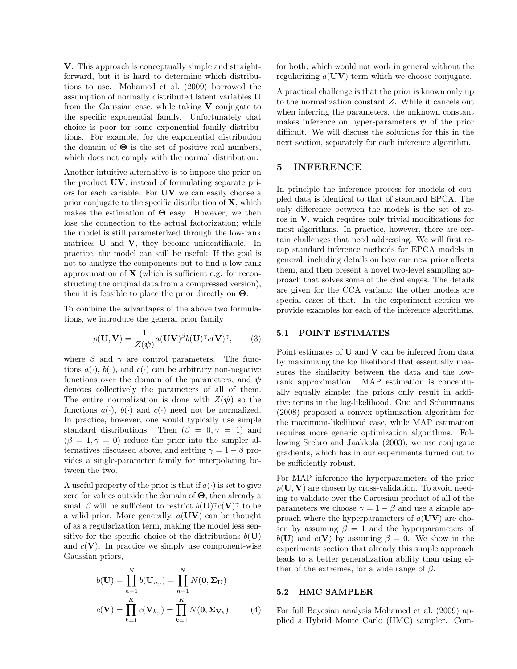V. This approach is conceptually simple and straightforward, but it is hard to determine which distributions to use. Mohamed et al. (2009) borrowed the assumption of normally distributed latent variables U from the Gaussian case, while taking  $V$  conjugate to the specific exponential family. Unfortunately that choice is poor for some exponential family distributions. For example, for the exponential distribution the domain of  $\Theta$  is the set of positive real numbers, which does not comply with the normal distribution.

Another intuitive alternative is to impose the prior on the product UV, instead of formulating separate priors for each variable. For UV we can easily choose a prior conjugate to the specific distribution of  $X$ , which makes the estimation of  $\Theta$  easy. However, we then lose the connection to the actual factorization; while the model is still parameterized through the low-rank matrices U and V, they become unidentifiable. In practice, the model can still be useful: If the goal is not to analyze the components but to find a low-rank approximation of  $X$  (which is sufficient e.g. for reconstructing the original data from a compressed version), then it is feasible to place the prior directly on  $\Theta$ .

To combine the advantages of the above two formulations, we introduce the general prior family

$$
p(\mathbf{U}, \mathbf{V}) = \frac{1}{Z(\boldsymbol{\psi})} a(\mathbf{U}\mathbf{V})^{\beta} b(\mathbf{U})^{\gamma} c(\mathbf{V})^{\gamma}, \qquad (3)
$$

where  $\beta$  and  $\gamma$  are control parameters. The functions  $a(\cdot)$ ,  $b(\cdot)$ , and  $c(\cdot)$  can be arbitrary non-negative functions over the domain of the parameters, and  $\psi$ denotes collectively the parameters of all of them. The entire normalization is done with  $Z(\psi)$  so the functions  $a(\cdot)$ ,  $b(\cdot)$  and  $c(\cdot)$  need not be normalized. In practice, however, one would typically use simple standard distributions. Then  $(\beta = 0, \gamma = 1)$  and  $(\beta = 1, \gamma = 0)$  reduce the prior into the simpler alternatives discussed above, and setting  $\gamma = 1 - \beta$  provides a single-parameter family for interpolating between the two.

A useful property of the prior is that if  $a(\cdot)$  is set to give zero for values outside the domain of Θ, then already a small  $\beta$  will be sufficient to restrict  $b(\mathbf{U})^{\gamma}c(\mathbf{V})^{\gamma}$  to be a valid prior. More generally,  $a(UV)$  can be thought of as a regularization term, making the model less sensitive for the specific choice of the distributions  $b(U)$ and  $c(V)$ . In practice we simply use component-wise Gaussian priors,

$$
b(\mathbf{U}) = \prod_{n=1}^{N} b(\mathbf{U}_{n,:}) = \prod_{n=1}^{N} N(\mathbf{0}, \Sigma_{\mathbf{U}})
$$

$$
c(\mathbf{V}) = \prod_{k=1}^{K} c(\mathbf{V}_{k,:}) = \prod_{k=1}^{K} N(\mathbf{0}, \Sigma_{\mathbf{V}_{k}})
$$
(4)

for both, which would not work in general without the regularizing  $a(UV)$  term which we choose conjugate.

A practical challenge is that the prior is known only up to the normalization constant Z. While it cancels out when inferring the parameters, the unknown constant makes inference on hyper-parameters  $\psi$  of the prior difficult. We will discuss the solutions for this in the next section, separately for each inference algorithm.

### 5 INFERENCE

In principle the inference process for models of coupled data is identical to that of standard EPCA. The only difference between the models is the set of zeros in  $V$ , which requires only trivial modifications for most algorithms. In practice, however, there are certain challenges that need addressing. We will first recap standard inference methods for EPCA models in general, including details on how our new prior affects them, and then present a novel two-level sampling approach that solves some of the challenges. The details are given for the CCA variant; the other models are special cases of that. In the experiment section we provide examples for each of the inference algorithms.

#### 5.1 POINT ESTIMATES

Point estimates of  $U$  and  $V$  can be inferred from data by maximizing the log likelihood that essentially measures the similarity between the data and the lowrank approximation. MAP estimation is conceptually equally simple; the priors only result in additive terms in the log-likelihood. Guo and Schuurmans (2008) proposed a convex optimization algorithm for the maximum-likelihood case, while MAP estimation requires more generic optimization algorithms. Following Srebro and Jaakkola (2003), we use conjugate gradients, which has in our experiments turned out to be sufficiently robust.

For MAP inference the hyperparameters of the prior  $p(\mathbf{U}, \mathbf{V})$  are chosen by cross-validation. To avoid needing to validate over the Cartesian product of all of the parameters we choose  $\gamma = 1 - \beta$  and use a simple approach where the hyperparameters of  $a(UV)$  are chosen by assuming  $\beta = 1$  and the hyperparameters of  $b(\mathbf{U})$  and  $c(\mathbf{V})$  by assuming  $\beta = 0$ . We show in the experiments section that already this simple approach leads to a better generalization ability than using either of the extremes, for a wide range of  $\beta$ .

#### 5.2 HMC SAMPLER

For full Bayesian analysis Mohamed et al. (2009) applied a Hybrid Monte Carlo (HMC) sampler. Com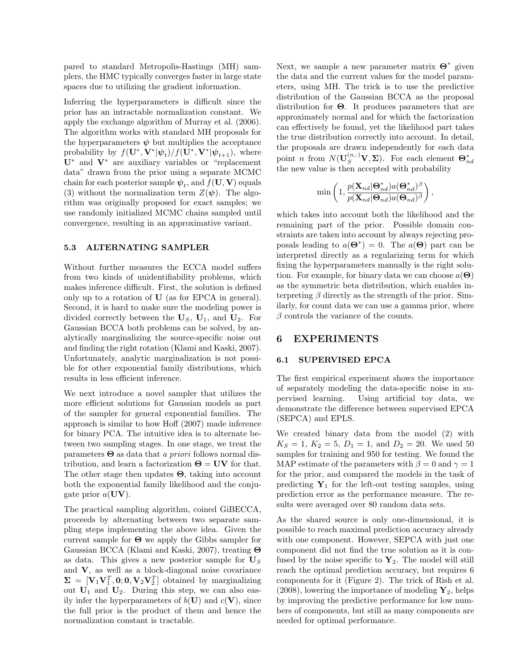pared to standard Metropolis-Hastings (MH) samplers, the HMC typically converges faster in large state spaces due to utilizing the gradient information.

Inferring the hyperparameters is difficult since the prior has an intractable normalization constant. We apply the exchange algorithm of Murray et al. (2006). The algorithm works with standard MH proposals for the hyperparameters  $\psi$  but multiplies the acceptance probability by  $f(\mathbf{U}^*, \mathbf{V}^*|\psi_t)/f(\mathbf{U}^*, \mathbf{V}^*|\psi_{t+1}),$  where U<sup>∗</sup> and V<sup>∗</sup> are auxiliary variables or "replacement data" drawn from the prior using a separate MCMC chain for each posterior sample  $\boldsymbol{\psi}_t$ , and  $f(\mathbf{U}, \mathbf{V})$  equals (3) without the normalization term  $Z(\psi)$ . The algorithm was originally proposed for exact samples; we use randomly initialized MCMC chains sampled until convergence, resulting in an approximative variant.

#### 5.3 ALTERNATING SAMPLER

Without further measures the ECCA model suffers from two kinds of unidentifiability problems, which makes inference difficult. First, the solution is defined only up to a rotation of U (as for EPCA in general). Second, it is hard to make sure the modeling power is divided correctly between the  $U_s$ ,  $U_1$ , and  $U_2$ . For Gaussian BCCA both problems can be solved, by analytically marginalizing the source-specific noise out and finding the right rotation (Klami and Kaski, 2007). Unfortunately, analytic marginalization is not possible for other exponential family distributions, which results in less efficient inference.

We next introduce a novel sampler that utilizes the more efficient solutions for Gaussian models as part of the sampler for general exponential families. The approach is similar to how Hoff (2007) made inference for binary PCA. The intuitive idea is to alternate between two sampling stages. In one stage, we treat the parameters  $\Theta$  as data that a priori follows normal distribution, and learn a factorization  $\Theta = UV$  for that. The other stage then updates  $\Theta$ , taking into account both the exponential family likelihood and the conjugate prior  $a(UV)$ .

The practical sampling algorithm, coined GiBECCA, proceeds by alternating between two separate sampling steps implementing the above idea. Given the current sample for  $\Theta$  we apply the Gibbs sampler for Gaussian BCCA (Klami and Kaski, 2007), treating Θ as data. This gives a new posterior sample for  $\mathbf{U}_S$ and V, as well as a block-diagonal noise covariance  $\Sigma = [\mathbf{V}_1 \mathbf{V}_1^T, \mathbf{0}; \mathbf{0}, \mathbf{V}_2 \mathbf{V}_2^T]$  obtained by marginalizing out  $U_1$  and  $U_2$ . During this step, we can also easily infer the hyperparameters of  $b(U)$  and  $c(V)$ , since the full prior is the product of them and hence the normalization constant is tractable.

Next, we sample a new parameter matrix  $\Theta^*$  given the data and the current values for the model parameters, using MH. The trick is to use the predictive distribution of the Gaussian BCCA as the proposal distribution for  $\Theta$ . It produces parameters that are approximately normal and for which the factorization can effectively be found, yet the likelihood part takes the true distribution correctly into account. In detail, the proposals are drawn independently for each data point *n* from  $N(\mathbf{U}_{S}^{(n,:)}\mathbf{V}, \Sigma)$ . For each element  $\mathbf{\Theta}_{nd}^{*}$ the new value is then accepted with probability

$$
\min \left(1, \frac{p(\mathbf{X}_{nd}|\boldsymbol{\Theta}^*_{nd})a(\boldsymbol{\Theta}^*_{nd})^{\beta}}{p(\mathbf{X}_{nd}|\boldsymbol{\Theta}_{nd})a(\boldsymbol{\Theta}_{nd})^{\beta}}\right),
$$

which takes into account both the likelihood and the remaining part of the prior. Possible domain constraints are taken into account by always rejecting proposals leading to  $a(\mathbf{\Theta}^*) = 0$ . The  $a(\mathbf{\Theta})$  part can be interpreted directly as a regularizing term for which fixing the hyperparameters manually is the right solution. For example, for binary data we can choose  $a(\Theta)$ as the symmetric beta distribution, which enables interpreting  $\beta$  directly as the strength of the prior. Similarly, for count data we can use a gamma prior, where  $\beta$  controls the variance of the counts.

### 6 EXPERIMENTS

#### 6.1 SUPERVISED EPCA

The first empirical experiment shows the importance of separately modeling the data-specific noise in supervised learning. Using artificial toy data, we demonstrate the difference between supervised EPCA (SEPCA) and EPLS.

We created binary data from the model (2) with  $K_S = 1, K_2 = 5, D_1 = 1, \text{ and } D_2 = 20.$  We used 50 samples for training and 950 for testing. We found the MAP estimate of the parameters with  $\beta = 0$  and  $\gamma = 1$ for the prior, and compared the models in the task of predicting  $Y_1$  for the left-out testing samples, using prediction error as the performance measure. The results were averaged over 80 random data sets.

As the shared source is only one-dimensional, it is possible to reach maximal prediction accuracy already with one component. However, SEPCA with just one component did not find the true solution as it is confused by the noise specific to  $\mathbf{Y}_2$ . The model will still reach the optimal prediction accuracy, but requires 6 components for it (Figure 2). The trick of Rish et al.  $(2008)$ , lowering the importance of modeling  $\mathbf{Y}_2$ , helps by improving the predictive performance for low numbers of components, but still as many components are needed for optimal performance.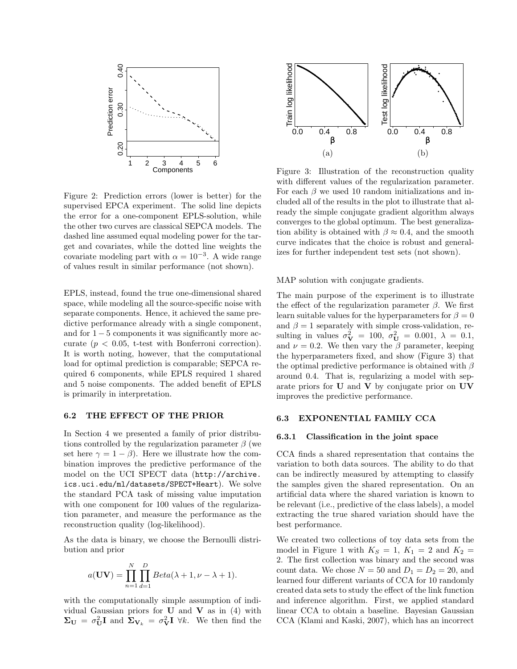

Figure 2: Prediction errors (lower is better) for the supervised EPCA experiment. The solid line depicts the error for a one-component EPLS-solution, while the other two curves are classical SEPCA models. The dashed line assumed equal modeling power for the target and covariates, while the dotted line weights the covariate modeling part with  $\alpha = 10^{-3}$ . A wide range of values result in similar performance (not shown).

EPLS, instead, found the true one-dimensional shared space, while modeling all the source-specific noise with separate components. Hence, it achieved the same predictive performance already with a single component, and for  $1 - 5$  components it was significantly more accurate  $(p < 0.05$ , t-test with Bonferroni correction). It is worth noting, however, that the computational load for optimal prediction is comparable; SEPCA required 6 components, while EPLS required 1 shared and 5 noise components. The added benefit of EPLS is primarily in interpretation.

#### 6.2 THE EFFECT OF THE PRIOR

In Section 4 we presented a family of prior distributions controlled by the regularization parameter  $\beta$  (we set here  $\gamma = 1 - \beta$ . Here we illustrate how the combination improves the predictive performance of the model on the UCI SPECT data (http://archive. ics.uci.edu/ml/datasets/SPECT+Heart). We solve the standard PCA task of missing value imputation with one component for 100 values of the regularization parameter, and measure the performance as the reconstruction quality (log-likelihood).

As the data is binary, we choose the Bernoulli distribution and prior

$$
a(\mathbf{UV}) = \prod_{n=1}^{N} \prod_{d=1}^{D} Beta(\lambda + 1, \nu - \lambda + 1).
$$

with the computationally simple assumption of individual Gaussian priors for  $U$  and  $V$  as in (4) with  $\Sigma_{\mathbf{U}} = \sigma_{\mathbf{U}}^2 \mathbf{I}$  and  $\Sigma_{\mathbf{V}_k} = \sigma_{\mathbf{V}}^2 \mathbf{I}$   $\forall k$ . We then find the



Figure 3: Illustration of the reconstruction quality with different values of the regularization parameter. For each  $\beta$  we used 10 random initializations and included all of the results in the plot to illustrate that already the simple conjugate gradient algorithm always converges to the global optimum. The best generalization ability is obtained with  $\beta \approx 0.4$ , and the smooth curve indicates that the choice is robust and generalizes for further independent test sets (not shown).

MAP solution with conjugate gradients.

The main purpose of the experiment is to illustrate the effect of the regularization parameter  $\beta$ . We first learn suitable values for the hyperparameters for  $\beta = 0$ and  $\beta = 1$  separately with simple cross-validation, resulting in values  $\sigma_{\mathbf{V}}^2 = 100, \ \sigma_{\mathbf{U}}^2 = 0.001, \ \lambda = 0.1,$ and  $\nu = 0.2$ . We then vary the  $\beta$  parameter, keeping the hyperparameters fixed, and show (Figure 3) that the optimal predictive performance is obtained with  $\beta$ around 0.4. That is, regularizing a model with separate priors for U and V by conjugate prior on UV improves the predictive performance.

### 6.3 EXPONENTIAL FAMILY CCA

#### 6.3.1 Classification in the joint space

CCA finds a shared representation that contains the variation to both data sources. The ability to do that can be indirectly measured by attempting to classify the samples given the shared representation. On an artificial data where the shared variation is known to be relevant (i.e., predictive of the class labels), a model extracting the true shared variation should have the best performance.

We created two collections of toy data sets from the model in Figure 1 with  $K_S = 1$ ,  $K_1 = 2$  and  $K_2 =$ 2. The first collection was binary and the second was count data. We chose  $N = 50$  and  $D_1 = D_2 = 20$ , and learned four different variants of CCA for 10 randomly created data sets to study the effect of the link function and inference algorithm. First, we applied standard linear CCA to obtain a baseline. Bayesian Gaussian CCA (Klami and Kaski, 2007), which has an incorrect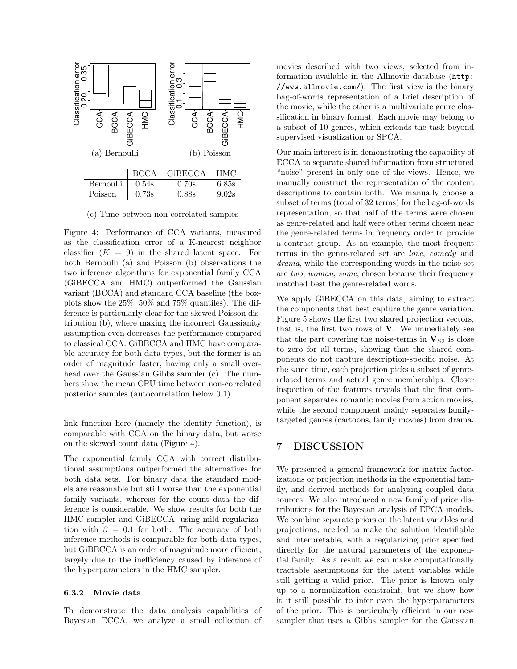

(c) Time between non-correlated samples

Figure 4: Performance of CCA variants, measured as the classification error of a K-nearest neighbor classifier  $(K = 9)$  in the shared latent space. For both Bernoulli (a) and Poisson (b) observations the two inference algorithms for exponential family CCA (GiBECCA and HMC) outperformed the Gaussian variant (BCCA) and standard CCA baseline (the boxplots show the 25%, 50% and 75% quantiles). The difference is particularly clear for the skewed Poisson distribution (b), where making the incorrect Gaussianity assumption even decreases the performance compared to classical CCA. GiBECCA and HMC have comparable accuracy for both data types, but the former is an order of magnitude faster, having only a small overhead over the Gaussian Gibbs sampler (c). The numbers show the mean CPU time between non-correlated posterior samples (autocorrelation below 0.1).

link function here (namely the identity function), is comparable with CCA on the binary data, but worse on the skewed count data (Figure 4).

The exponential family CCA with correct distributional assumptions outperformed the alternatives for both data sets. For binary data the standard models are reasonable but still worse than the exponential family variants, whereas for the count data the difference is considerable. We show results for both the HMC sampler and GiBECCA, using mild regularization with  $\beta = 0.1$  for both. The accuracy of both inference methods is comparable for both data types, but GiBECCA is an order of magnitude more efficient, largely due to the inefficiency caused by inference of the hyperparameters in the HMC sampler.

#### 6.3.2 Movie data

To demonstrate the data analysis capabilities of Bayesian ECCA, we analyze a small collection of

movies described with two views, selected from information available in the Allmovie database (http: //www.allmovie.com/). The first view is the binary bag-of-words representation of a brief description of the movie, while the other is a multivariate genre classification in binary format. Each movie may belong to a subset of 10 genres, which extends the task beyond supervised visualization or SPCA.

Our main interest is in demonstrating the capability of ECCA to separate shared information from structured "noise" present in only one of the views. Hence, we manually construct the representation of the content descriptions to contain both. We manually choose a subset of terms (total of 32 terms) for the bag-of-words representation, so that half of the terms were chosen as genre-related and half were other terms chosen near the genre-related terms in frequency order to provide a contrast group. As an example, the most frequent terms in the genre-related set are love, comedy and drama, while the corresponding words in the noise set are two, woman, some, chosen because their frequency matched best the genre-related words.

We apply GiBECCA on this data, aiming to extract the components that best capture the genre variation. Figure 5 shows the first two shared projection vectors, that is, the first two rows of  $V$ . We immediately see that the part covering the noise-terms in  $V_{S2}$  is close to zero for all terms, showing that the shared components do not capture description-specific noise. At the same time, each projection picks a subset of genrerelated terms and actual genre memberships. Closer inspection of the features reveals that the first component separates romantic movies from action movies, while the second component mainly separates familytargeted genres (cartoons, family movies) from drama.

# 7 DISCUSSION

We presented a general framework for matrix factorizations or projection methods in the exponential family, and derived methods for analyzing coupled data sources. We also introduced a new family of prior distributions for the Bayesian analysis of EPCA models. We combine separate priors on the latent variables and projections, needed to make the solution identifiable and interpretable, with a regularizing prior specified directly for the natural parameters of the exponential family. As a result we can make computationally tractable assumptions for the latent variables while still getting a valid prior. The prior is known only up to a normalization constraint, but we show how it it still possible to infer even the hyperparameters of the prior. This is particularly efficient in our new sampler that uses a Gibbs sampler for the Gaussian